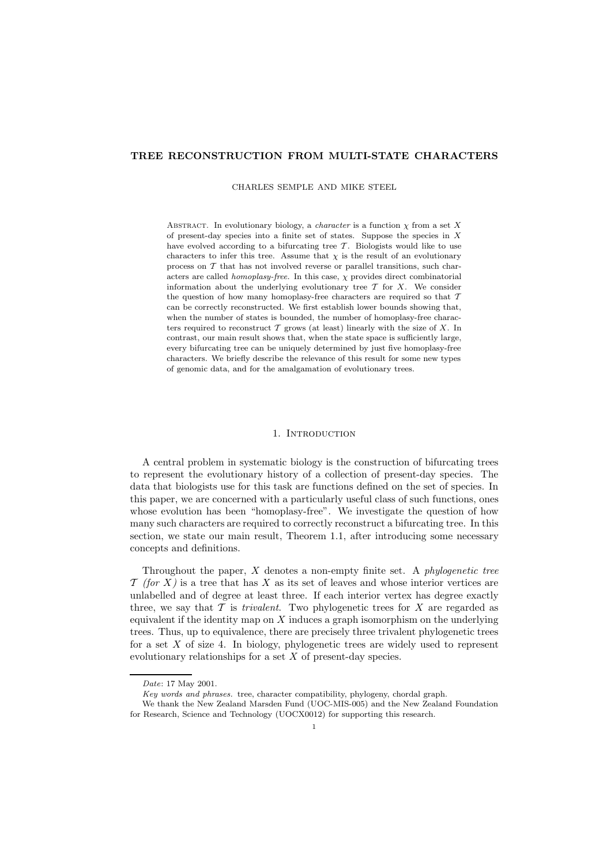# **TREE RECONSTRUCTION FROM MULTI-STATE CHARACTERS**

CHARLES SEMPLE AND MIKE STEEL

ABSTRACT. In evolutionary biology, a *character* is a function  $\chi$  from a set X of present-day species into a finite set of states. Suppose the species in  $X$ have evolved according to a bifurcating tree  $\mathcal T$ . Biologists would like to use characters to infer this tree. Assume that  $\chi$  is the result of an evolutionary process on  $T$  that has not involved reverse or parallel transitions, such characters are called *homoplasy-free*. In this case,  $\chi$  provides direct combinatorial information about the underlying evolutionary tree  $\mathcal T$  for  $X$ . We consider the question of how many homoplasy-free characters are required so that  $\mathcal T$ can be correctly reconstructed. We first establish lower bounds showing that, when the number of states is bounded, the number of homoplasy-free characters required to reconstruct  $\mathcal T$  grows (at least) linearly with the size of  $X$ . In contrast, our main result shows that, when the state space is sufficiently large, every bifurcating tree can be uniquely determined by just five homoplasy-free characters. We briefly describe the relevance of this result for some new types of genomic data, and for the amalgamation of evolutionary trees.

## 1. Introduction

A central problem in systematic biology is the construction of bifurcating trees to represent the evolutionary history of a collection of present-day species. The data that biologists use for this task are functions defined on the set of species. In this paper, we are concerned with a particularly useful class of such functions, ones whose evolution has been "homoplasy-free". We investigate the question of how many such characters are required to correctly reconstruct a bifurcating tree. In this section, we state our main result, Theorem 1.1, after introducing some necessary concepts and definitions.

Throughout the paper, X denotes a non-empty finite set. A *phylogenetic tree*  $\mathcal{T}$  *(for* X) is a tree that has X as its set of leaves and whose interior vertices are unlabelled and of degree at least three. If each interior vertex has degree exactly three, we say that  $\mathcal T$  is *trivalent*. Two phylogenetic trees for  $X$  are regarded as equivalent if the identity map on  $X$  induces a graph isomorphism on the underlying trees. Thus, up to equivalence, there are precisely three trivalent phylogenetic trees for a set  $X$  of size 4. In biology, phylogenetic trees are widely used to represent evolutionary relationships for a set  $X$  of present-day species.

Date: 17 May 2001.

Key words and phrases. tree, character compatibility, phylogeny, chordal graph.

We thank the New Zealand Marsden Fund (UOC-MIS-005) and the New Zealand Foundation for Research, Science and Technology (UOCX0012) for supporting this research.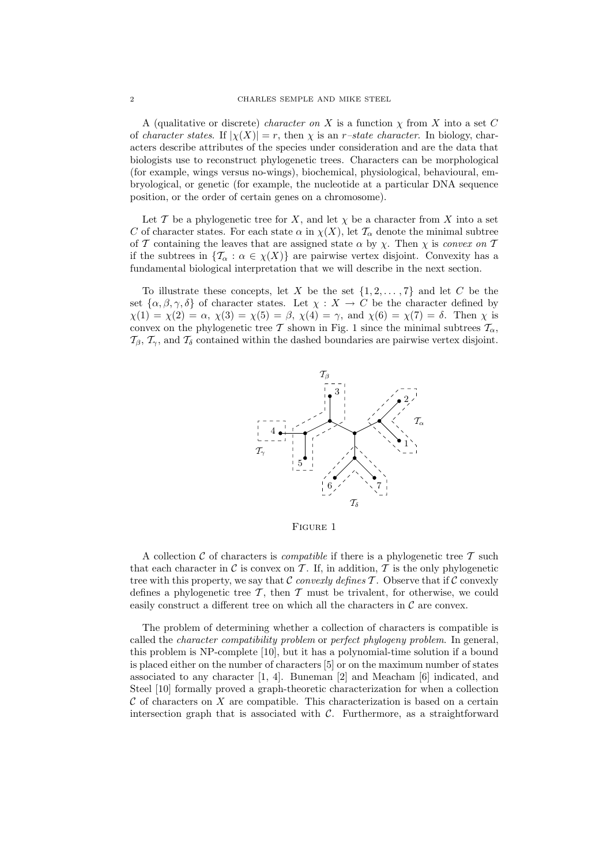A (qualitative or discrete) *character on* X is a function χ from X into a set C of *character states*. If  $|\chi(X)| = r$ , then  $\chi$  is an *r*-state *character*. In biology, characters describe attributes of the species under consideration and are the data that biologists use to reconstruct phylogenetic trees. Characters can be morphological (for example, wings versus no-wings), biochemical, physiological, behavioural, embryological, or genetic (for example, the nucleotide at a particular DNA sequence position, or the order of certain genes on a chromosome).

Let T be a phylogenetic tree for X, and let  $\chi$  be a character from X into a set C of character states. For each state  $\alpha$  in  $\chi(X)$ , let  $\mathcal{T}_{\alpha}$  denote the minimal subtree of T containing the leaves that are assigned state  $\alpha$  by  $\chi$ . Then  $\chi$  is *convex on* T if the subtrees in  $\{\mathcal{T}_{\alpha}: \alpha \in \chi(X)\}\$  are pairwise vertex disjoint. Convexity has a fundamental biological interpretation that we will describe in the next section.

To illustrate these concepts, let X be the set  $\{1, 2, \ldots, 7\}$  and let C be the set  $\{\alpha, \beta, \gamma, \delta\}$  of character states. Let  $\chi : X \to C$  be the character defined by  $\chi(1) = \chi(2) = \alpha$ ,  $\chi(3) = \chi(5) = \beta$ ,  $\chi(4) = \gamma$ , and  $\chi(6) = \chi(7) = \delta$ . Then  $\chi$  is convex on the phylogenetic tree T shown in Fig. 1 since the minimal subtrees  $T_{\alpha}$ ,  $\mathcal{T}_{\beta}, \mathcal{T}_{\gamma}$ , and  $\mathcal{T}_{\delta}$  contained within the dashed boundaries are pairwise vertex disjoint.



Figure 1

A collection  $\mathcal C$  of characters is *compatible* if there is a phylogenetic tree  $\mathcal T$  such that each character in C is convex on T. If, in addition, T is the only phylogenetic tree with this property, we say that  $\mathcal C$  *convexly defines*  $\mathcal T$ . Observe that if  $\mathcal C$  convexly defines a phylogenetic tree  $\mathcal T$ , then  $\mathcal T$  must be trivalent, for otherwise, we could easily construct a different tree on which all the characters in  $\mathcal C$  are convex.

The problem of determining whether a collection of characters is compatible is called the *character compatibility problem* or *perfect phylogeny problem*. In general, this problem is NP-complete [10], but it has a polynomial-time solution if a bound is placed either on the number of characters [5] or on the maximum number of states associated to any character [1, 4]. Buneman [2] and Meacham [6] indicated, and Steel [10] formally proved a graph-theoretic characterization for when a collection  $C$  of characters on  $X$  are compatible. This characterization is based on a certain intersection graph that is associated with  $C$ . Furthermore, as a straightforward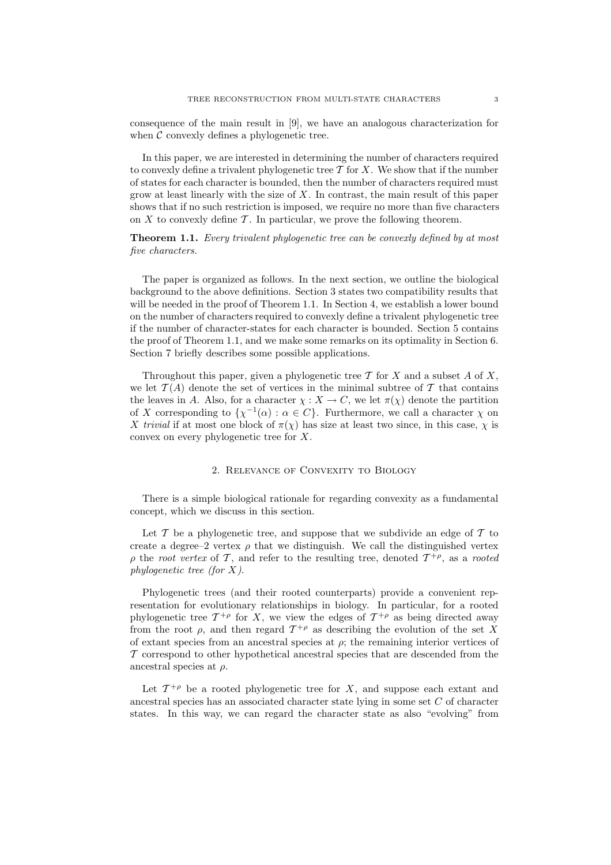consequence of the main result in [9], we have an analogous characterization for when  $\mathcal C$  convexly defines a phylogenetic tree.

In this paper, we are interested in determining the number of characters required to convexly define a trivalent phylogenetic tree  $\mathcal T$  for  $X$ . We show that if the number of states for each character is bounded, then the number of characters required must grow at least linearly with the size of  $X$ . In contrast, the main result of this paper shows that if no such restriction is imposed, we require no more than five characters on  $X$  to convexly define  $\mathcal T$ . In particular, we prove the following theorem.

**Theorem 1.1.** *Every trivalent phylogenetic tree can be convexly defined by at most five characters.*

The paper is organized as follows. In the next section, we outline the biological background to the above definitions. Section 3 states two compatibility results that will be needed in the proof of Theorem 1.1. In Section 4, we establish a lower bound on the number of characters required to convexly define a trivalent phylogenetic tree if the number of character-states for each character is bounded. Section 5 contains the proof of Theorem 1.1, and we make some remarks on its optimality in Section 6. Section 7 briefly describes some possible applications.

Throughout this paper, given a phylogenetic tree  $\mathcal T$  for  $X$  and a subset  $A$  of  $X$ , we let  $\mathcal{T}(A)$  denote the set of vertices in the minimal subtree of T that contains the leaves in A. Also, for a character  $\chi : X \to C$ , we let  $\pi(\chi)$  denote the partition of X corresponding to  $\{\chi^{-1}(\alpha): \alpha \in C\}$ . Furthermore, we call a character  $\chi$  on X *trivial* if at most one block of  $\pi(\chi)$  has size at least two since, in this case,  $\chi$  is convex on every phylogenetic tree for X.

#### 2. Relevance of Convexity to Biology

There is a simple biological rationale for regarding convexity as a fundamental concept, which we discuss in this section.

Let  $\mathcal T$  be a phylogenetic tree, and suppose that we subdivide an edge of  $\mathcal T$  to create a degree–2 vertex  $\rho$  that we distinguish. We call the distinguished vertex  $\rho$  the *root vertex* of T, and refer to the resulting tree, denoted  $T^{+\rho}$ , as a *rooted phylogenetic tree (for* X*)*.

Phylogenetic trees (and their rooted counterparts) provide a convenient representation for evolutionary relationships in biology. In particular, for a rooted phylogenetic tree  $T^{+\rho}$  for X, we view the edges of  $T^{+\rho}$  as being directed away from the root  $\rho$ , and then regard  $\mathcal{T}^{+\rho}$  as describing the evolution of the set X of extant species from an ancestral species at  $\rho$ ; the remaining interior vertices of  $\tau$  correspond to other hypothetical ancestral species that are descended from the ancestral species at  $\rho$ .

Let  $\mathcal{T}^{+\rho}$  be a rooted phylogenetic tree for X, and suppose each extant and ancestral species has an associated character state lying in some set C of character states. In this way, we can regard the character state as also "evolving" from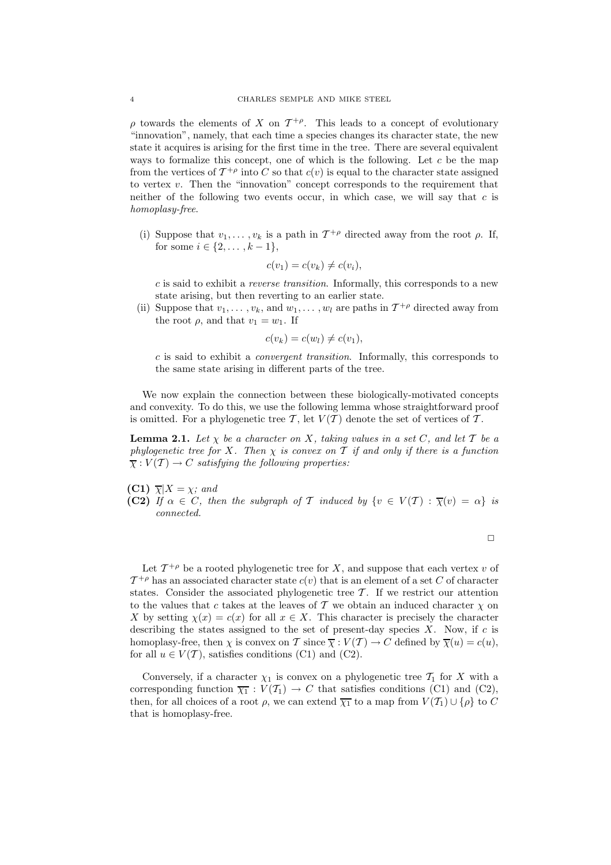$ρ$  towards the elements of X on  $T^{+ρ}$ . This leads to a concept of evolutionary "innovation", namely, that each time a species changes its character state, the new state it acquires is arising for the first time in the tree. There are several equivalent ways to formalize this concept, one of which is the following. Let  $c$  be the map from the vertices of  $T^{+\rho}$  into C so that  $c(v)$  is equal to the character state assigned to vertex  $v$ . Then the "innovation" concept corresponds to the requirement that neither of the following two events occur, in which case, we will say that  $c$  is *homoplasy-free*.

(i) Suppose that  $v_1, \ldots, v_k$  is a path in  $\mathcal{T}^{+\rho}$  directed away from the root  $\rho$ . If, for some  $i \in \{2, ..., k-1\},\$ 

$$
c(v_1) = c(v_k) \neq c(v_i),
$$

c is said to exhibit a *reverse transition*. Informally, this corresponds to a new state arising, but then reverting to an earlier state.

(ii) Suppose that  $v_1,\ldots,v_k$ , and  $w_1,\ldots,w_l$  are paths in  $\mathcal{T}^{+\rho}$  directed away from the root  $\rho$ , and that  $v_1 = w_1$ . If

$$
c(v_k) = c(w_l) \neq c(v_1),
$$

c is said to exhibit a *convergent transition*. Informally, this corresponds to the same state arising in different parts of the tree.

We now explain the connection between these biologically-motivated concepts and convexity. To do this, we use the following lemma whose straightforward proof is omitted. For a phylogenetic tree T, let  $V(T)$  denote the set of vertices of T.

**Lemma 2.1.** Let  $\chi$  be a character on X, taking values in a set C, and let T be a *phylogenetic tree for* X*. Then* χ *is convex on* T *if and only if there is a function*  $\overline{\chi}: V(\mathcal{T}) \to C$  *satisfying the following properties:* 

- **(C1)**  $\overline{\chi}|X = \chi$ *;* and
- **(C2)** *If*  $\alpha \in C$ *, then the subgraph of* T *induced by*  $\{v \in V(T) : \overline{\chi}(v) = \alpha\}$  *is connected.*

$$
\Box
$$

Let  $\mathcal{T}^{+\rho}$  be a rooted phylogenetic tree for X, and suppose that each vertex v of  $\mathcal{T}^{+\rho}$  has an associated character state  $c(v)$  that is an element of a set C of character states. Consider the associated phylogenetic tree  $\mathcal{T}$ . If we restrict our attention to the values that c takes at the leaves of T we obtain an induced character  $\chi$  on X by setting  $\chi(x) = c(x)$  for all  $x \in X$ . This character is precisely the character describing the states assigned to the set of present-day species  $X$ . Now, if  $c$  is homoplasy-free, then  $\chi$  is convex on T since  $\overline{\chi}: V(\mathcal{T}) \to C$  defined by  $\overline{\chi}(u) = c(u)$ , for all  $u \in V(\mathcal{T})$ , satisfies conditions (C1) and (C2).

Conversely, if a character  $\chi_1$  is convex on a phylogenetic tree  $\mathcal{T}_1$  for X with a corresponding function  $\overline{\chi_1} : V(\mathcal{T}_1) \to C$  that satisfies conditions (C1) and (C2), then, for all choices of a root  $\rho$ , we can extend  $\overline{\chi_1}$  to a map from  $V(\mathcal{T}_1) \cup \{\rho\}$  to C that is homoplasy-free.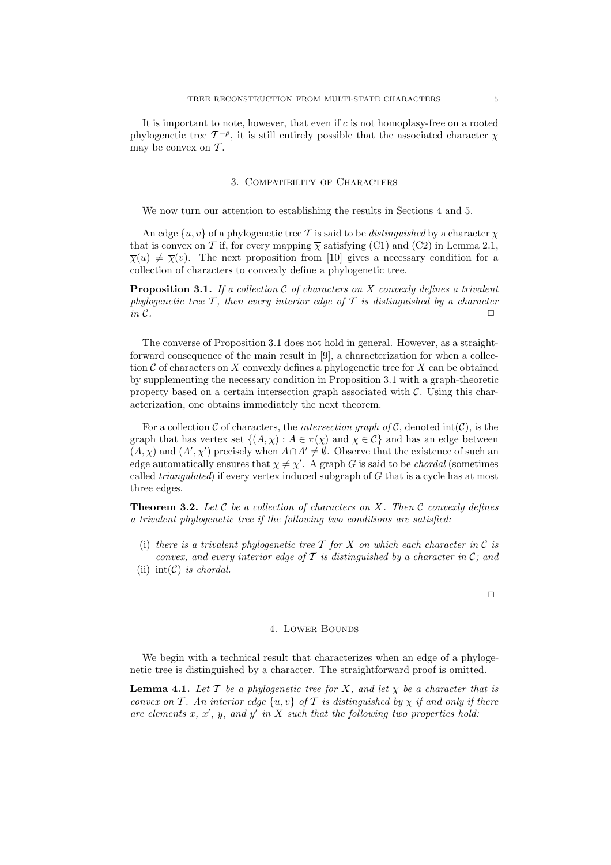It is important to note, however, that even if c is not homoplasy-free on a rooted phylogenetic tree  $\mathcal{T}^{+\rho}$ , it is still entirely possible that the associated character  $\gamma$ may be convex on  $\mathcal T$ .

## 3. Compatibility of Characters

We now turn our attention to establishing the results in Sections 4 and 5.

An edge  $\{u, v\}$  of a phylogenetic tree T is said to be *distinguished* by a character  $\chi$ that is convex on T if, for every mapping  $\overline{\chi}$  satisfying (C1) and (C2) in Lemma 2.1,  $\overline{\chi}(u) \neq \overline{\chi}(v)$ . The next proposition from [10] gives a necessary condition for a collection of characters to convexly define a phylogenetic tree.

**Proposition 3.1.** *If a collection* C *of characters on* X *convexly defines a trivalent phylogenetic tree*  $\mathcal{T}$ *, then every interior edge of*  $\mathcal{T}$  *is distinguished by a character*  $in \mathcal{C}.$ 

The converse of Proposition 3.1 does not hold in general. However, as a straightforward consequence of the main result in [9], a characterization for when a collection  $\mathcal C$  of characters on X convexly defines a phylogenetic tree for X can be obtained by supplementing the necessary condition in Proposition 3.1 with a graph-theoretic property based on a certain intersection graph associated with  $\mathcal{C}$ . Using this characterization, one obtains immediately the next theorem.

For a collection  $C$  of characters, the *intersection graph of*  $C$ , denoted  $int(C)$ , is the graph that has vertex set  $\{(A, \chi) : A \in \pi(\chi) \text{ and } \chi \in \mathcal{C}\}\$  and has an edge between  $(A, \chi)$  and  $(A', \chi')$  precisely when  $A \cap A' \neq \emptyset$ . Observe that the existence of such an edge automatically ensures that  $\chi \neq \chi'$ . A graph G is said to be *chordal* (sometimes called *triangulated*) if every vertex induced subgraph of G that is a cycle has at most three edges.

**Theorem 3.2.** *Let* C *be a collection of characters on* X*. Then* C *convexly defines a trivalent phylogenetic tree if the following two conditions are satisfied:*

- (i) there is a trivalent phylogenetic tree  $T$  for  $X$  on which each character in  $C$  is *convex, and every interior edge of* T *is distinguished by a character in* C*; and*
- (ii) int(C) *is chordal.*

 $\Box$ 

#### 4. Lower Bounds

We begin with a technical result that characterizes when an edge of a phylogenetic tree is distinguished by a character. The straightforward proof is omitted.

**Lemma 4.1.** Let  $\mathcal T$  be a phylogenetic tree for  $X$ , and let  $\chi$  be a character that is *convex on* T. An interior edge  $\{u, v\}$  of T is distinguished by  $\chi$  if and only if there are elements  $x, x', y$ , and  $y'$  *in*  $X$  *such that the following two properties hold:*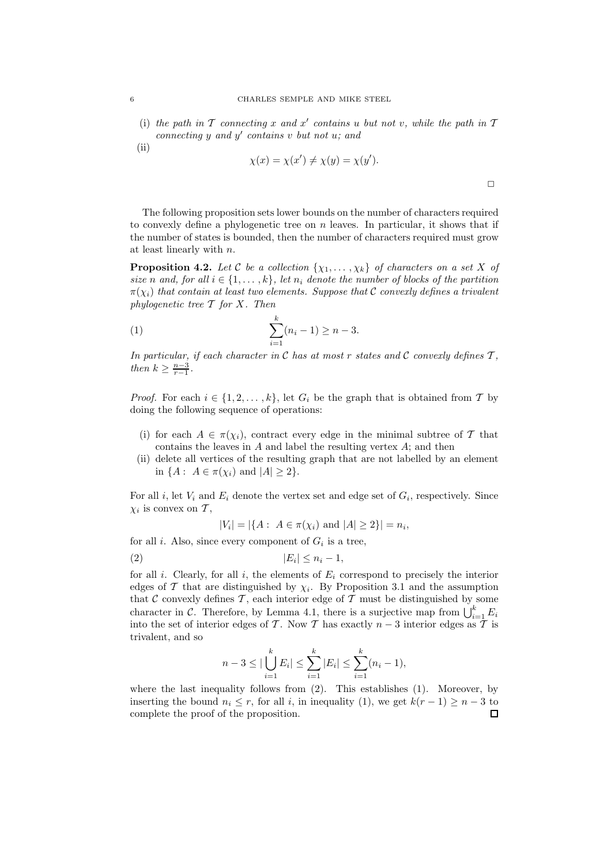(i) the path in  $\mathcal T$  connecting  $x$  and  $x'$  contains u but not v, while the path in  $\mathcal T$  $\mathbf{*c*onnecting\ y\ and\ y'\ contains\ v\ but\ not\ u\,;\ and\$ 

$$
\chi(x) = \chi(x') \neq \chi(y) = \chi(y').
$$

 $\Box$ 

The following proposition sets lower bounds on the number of characters required to convexly define a phylogenetic tree on  $n$  leaves. In particular, it shows that if the number of states is bounded, then the number of characters required must grow at least linearly with n.

**Proposition 4.2.** Let C be a collection  $\{\chi_1, \ldots, \chi_k\}$  of characters on a set X of *size* n and, for all  $i \in \{1, ..., k\}$ , let  $n_i$  denote the number of blocks of the partition  $\pi(\chi_i)$  that contain at least two elements. Suppose that C convexly defines a trivalent *phylogenetic tree* T *for* X*. Then*

(1) 
$$
\sum_{i=1}^{k} (n_i - 1) \ge n - 3.
$$

In particular, if each character in  $\mathcal C$  has at most r states and  $\mathcal C$  convexly defines  $\mathcal T$ , *then*  $k \geq \frac{n-3}{r-1}$ .

*Proof.* For each  $i \in \{1, 2, ..., k\}$ , let  $G_i$  be the graph that is obtained from T by doing the following sequence of operations:

- (i) for each  $A \in \pi(\chi_i)$ , contract every edge in the minimal subtree of T that contains the leaves in  $A$  and label the resulting vertex  $A$ ; and then
- (ii) delete all vertices of the resulting graph that are not labelled by an element in  $\{A : A \in \pi(\chi_i) \text{ and } |A| \geq 2\}.$

For all i, let  $V_i$  and  $E_i$  denote the vertex set and edge set of  $G_i$ , respectively. Since  $\chi_i$  is convex on T,

$$
|V_i| = |\{A : A \in \pi(\chi_i) \text{ and } |A| \geq 2\}| = n_i,
$$

for all i. Also, since every component of  $G_i$  is a tree,

$$
|E_i| \leq n_i - 1,
$$

for all i. Clearly, for all i, the elements of  $E_i$  correspond to precisely the interior edges of T that are distinguished by  $\chi_i$ . By Proposition 3.1 and the assumption that  $\mathcal C$  convexly defines  $\mathcal T$ , each interior edge of  $\mathcal T$  must be distinguished by some character in C. Therefore, by Lemma 4.1, there is a surjective map from  $\bigcup_{i=1}^{k} E_i$ into the set of interior edges of T. Now T has exactly  $n-3$  interior edges as  $\overline{T}$  is trivalent, and so

$$
n-3 \leq |\bigcup_{i=1}^{k} E_i| \leq \sum_{i=1}^{k} |E_i| \leq \sum_{i=1}^{k} (n_i - 1),
$$

where the last inequality follows from (2). This establishes (1). Moreover, by inserting the bound  $n_i \leq r$ , for all i, in inequality (1), we get  $k(r-1) \geq n-3$  to complete the proof of the proposition. $\Box$ 

(ii)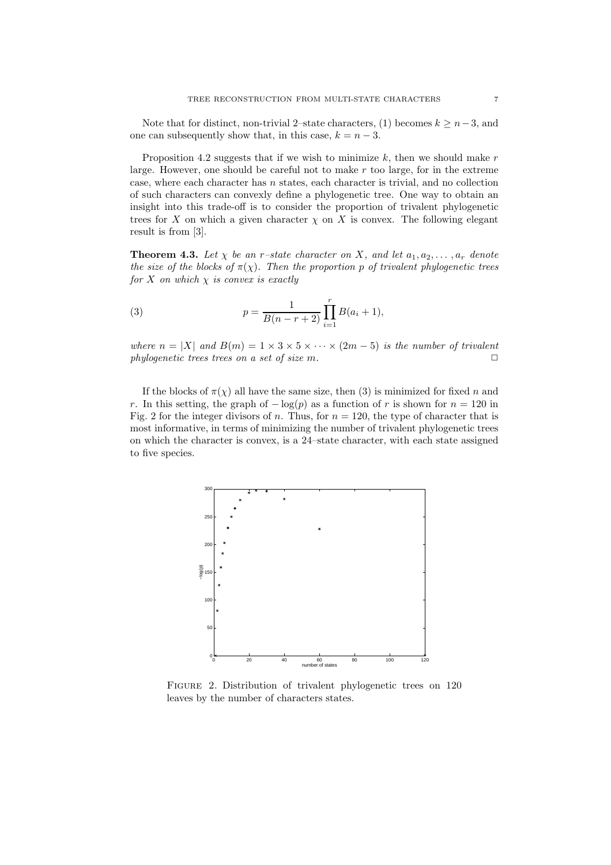Note that for distinct, non-trivial 2–state characters, (1) becomes  $k \geq n-3$ , and one can subsequently show that, in this case,  $k = n - 3$ .

Proposition 4.2 suggests that if we wish to minimize  $k$ , then we should make  $r$ large. However, one should be careful not to make  $r$  too large, for in the extreme case, where each character has  $n$  states, each character is trivial, and no collection of such characters can convexly define a phylogenetic tree. One way to obtain an insight into this trade-off is to consider the proportion of trivalent phylogenetic trees for X on which a given character  $\chi$  on X is convex. The following elegant result is from [3].

**Theorem 4.3.** Let  $\chi$  be an r-state character on X, and let  $a_1, a_2, \ldots, a_r$  denote *the size of the blocks of*  $\pi(\chi)$ *. Then the proportion p of trivalent phylogenetic trees for* X *on which* χ *is convex is exactly*

(3) 
$$
p = \frac{1}{B(n-r+2)} \prod_{i=1}^{r} B(a_i+1),
$$

*where*  $n = |X|$  *and*  $B(m) = 1 \times 3 \times 5 \times \cdots \times (2m - 5)$  *is the number of trivalent phylogenetic trees trees on a set of size m.* 

If the blocks of  $\pi(\chi)$  all have the same size, then (3) is minimized for fixed n and r. In this setting, the graph of  $-\log(p)$  as a function of r is shown for  $n = 120$  in Fig. 2 for the integer divisors of n. Thus, for  $n = 120$ , the type of character that is most informative, in terms of minimizing the number of trivalent phylogenetic trees on which the character is convex, is a 24–state character, with each state assigned to five species.



FIGURE 2. Distribution of trivalent phylogenetic trees on 120 leaves by the number of characters states.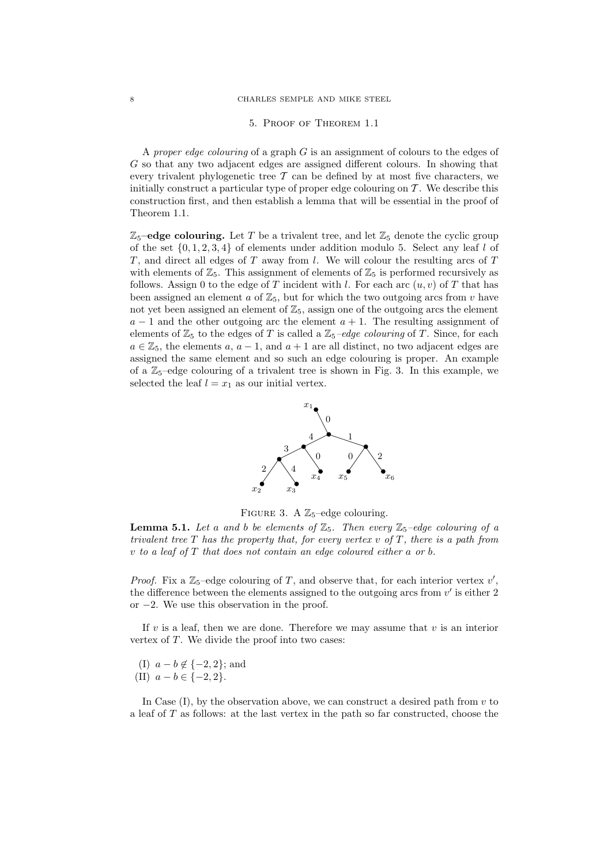## 8 CHARLES SEMPLE AND MIKE STEEL

#### 5. Proof of Theorem 1.1

A *proper edge colouring* of a graph G is an assignment of colours to the edges of G so that any two adjacent edges are assigned different colours. In showing that every trivalent phylogenetic tree  $\mathcal T$  can be defined by at most five characters, we initially construct a particular type of proper edge colouring on  $\mathcal T$ . We describe this construction first, and then establish a lemma that will be essential in the proof of Theorem 1.1.

 $\mathbb{Z}_5$ **–edge colouring.** Let T be a trivalent tree, and let  $\mathbb{Z}_5$  denote the cyclic group of the set  $\{0, 1, 2, 3, 4\}$  of elements under addition modulo 5. Select any leaf l of T, and direct all edges of  $T$  away from  $l$ . We will colour the resulting arcs of  $T$ with elements of  $\mathbb{Z}_5$ . This assignment of elements of  $\mathbb{Z}_5$  is performed recursively as follows. Assign 0 to the edge of T incident with l. For each arc  $(u, v)$  of T that has been assigned an element  $a$  of  $\mathbb{Z}_5$ , but for which the two outgoing arcs from  $v$  have not yet been assigned an element of  $\mathbb{Z}_5$ , assign one of the outgoing arcs the element  $a-1$  and the other outgoing arc the element  $a+1$ . The resulting assignment of elements of  $\mathbb{Z}_5$  to the edges of T is called a  $\mathbb{Z}_5$ -edge colouring of T. Since, for each  $a \in \mathbb{Z}_5$ , the elements  $a, a-1$ , and  $a+1$  are all distinct, no two adjacent edges are assigned the same element and so such an edge colouring is proper. An example of a  $\mathbb{Z}_5$ -edge colouring of a trivalent tree is shown in Fig. 3. In this example, we selected the leaf  $l = x_1$  as our initial vertex.



FIGURE 3. A  $\mathbb{Z}_5$ -edge colouring.

**Lemma 5.1.** Let a and b be elements of  $\mathbb{Z}_5$ . Then every  $\mathbb{Z}_5$ –edge colouring of a *trivalent tree* T has the property that, for every vertex v of T, there is a path from v *to a leaf of* T *that does not contain an edge coloured either* a *or* b*.*

*Proof.* Fix a  $\mathbb{Z}_5$ -edge colouring of T, and observe that, for each interior vertex  $v'$ , the difference between the elements assigned to the outgoing arcs from  $v'$  is either 2 or −2. We use this observation in the proof.

If  $v$  is a leaf, then we are done. Therefore we may assume that  $v$  is an interior vertex of  $T$ . We divide the proof into two cases:

(I) 
$$
a - b \notin \{-2, 2\}
$$
; and  
(II)  $a - b \in \{-2, 2\}$ .

In Case  $(I)$ , by the observation above, we can construct a desired path from  $v$  to a leaf of T as follows: at the last vertex in the path so far constructed, choose the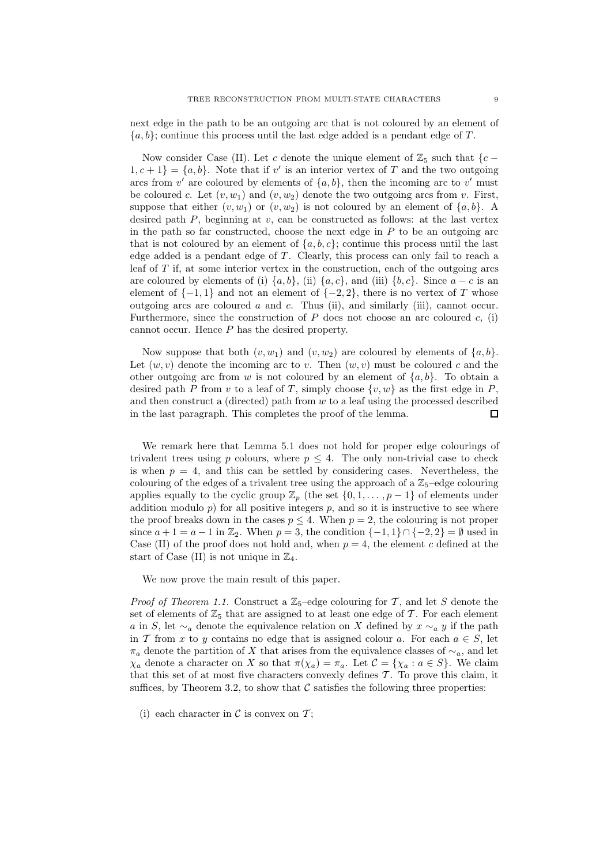next edge in the path to be an outgoing arc that is not coloured by an element of  ${a, b}$ ; continue this process until the last edge added is a pendant edge of T.

Now consider Case (II). Let c denote the unique element of  $\mathbb{Z}_5$  such that  $\{c 1, c + 1$  = {a, b}. Note that if v' is an interior vertex of T and the two outgoing arcs from v' are coloured by elements of  $\{a, b\}$ , then the incoming arc to v' must be coloured c. Let  $(v, w_1)$  and  $(v, w_2)$  denote the two outgoing arcs from v. First, suppose that either  $(v, w_1)$  or  $(v, w_2)$  is not coloured by an element of  $\{a, b\}$ . A desired path  $P$ , beginning at  $v$ , can be constructed as follows: at the last vertex in the path so far constructed, choose the next edge in  $P$  to be an outgoing arc that is not coloured by an element of  $\{a, b, c\}$ ; continue this process until the last edge added is a pendant edge of  $T$ . Clearly, this process can only fail to reach a leaf of  $T$  if, at some interior vertex in the construction, each of the outgoing arcs are coloured by elements of (i)  $\{a, b\}$ , (ii)  $\{a, c\}$ , and (iii)  $\{b, c\}$ . Since  $a - c$  is an element of  $\{-1,1\}$  and not an element of  $\{-2,2\}$ , there is no vertex of T whose outgoing arcs are coloured  $a$  and  $c$ . Thus (ii), and similarly (iii), cannot occur. Furthermore, since the construction of  $P$  does not choose an arc coloured  $c$ , (i) cannot occur. Hence P has the desired property.

Now suppose that both  $(v, w_1)$  and  $(v, w_2)$  are coloured by elements of  $\{a, b\}$ . Let  $(w, v)$  denote the incoming arc to v. Then  $(w, v)$  must be coloured c and the other outgoing arc from w is not coloured by an element of  $\{a, b\}$ . To obtain a desired path P from v to a leaf of T, simply choose  $\{v, w\}$  as the first edge in P, and then construct a (directed) path from  $w$  to a leaf using the processed described in the last paragraph. This completes the proof of the lemma.  $\Box$ 

We remark here that Lemma 5.1 does not hold for proper edge colourings of trivalent trees using p colours, where  $p \leq 4$ . The only non-trivial case to check is when  $p = 4$ , and this can be settled by considering cases. Nevertheless, the colouring of the edges of a trivalent tree using the approach of a  $\mathbb{Z}_5$ -edge colouring applies equally to the cyclic group  $\mathbb{Z}_p$  (the set  $\{0, 1, \ldots, p-1\}$  of elements under addition modulo  $p$ ) for all positive integers  $p$ , and so it is instructive to see where the proof breaks down in the cases  $p \leq 4$ . When  $p = 2$ , the colouring is not proper since  $a + 1 = a - 1$  in  $\mathbb{Z}_2$ . When  $p = 3$ , the condition  $\{-1, 1\} \cap \{-2, 2\} = \emptyset$  used in Case (II) of the proof does not hold and, when  $p = 4$ , the element c defined at the start of Case (II) is not unique in  $\mathbb{Z}_4$ .

We now prove the main result of this paper.

*Proof of Theorem 1.1.* Construct a  $\mathbb{Z}_5$ -edge colouring for T, and let S denote the set of elements of  $\mathbb{Z}_5$  that are assigned to at least one edge of T. For each element a in S, let  $\sim_a$  denote the equivalence relation on X defined by  $x \sim_a y$  if the path in T from x to y contains no edge that is assigned colour a. For each  $a \in S$ , let  $\pi_a$  denote the partition of X that arises from the equivalence classes of  $\sim_a$ , and let  $\chi_a$  denote a character on X so that  $\pi(\chi_a) = \pi_a$ . Let  $\mathcal{C} = {\chi_a : a \in S}$ . We claim that this set of at most five characters convexly defines  $T$ . To prove this claim, it suffices, by Theorem 3.2, to show that  $\mathcal C$  satisfies the following three properties:

(i) each character in  $\mathcal C$  is convex on  $\mathcal T$ ;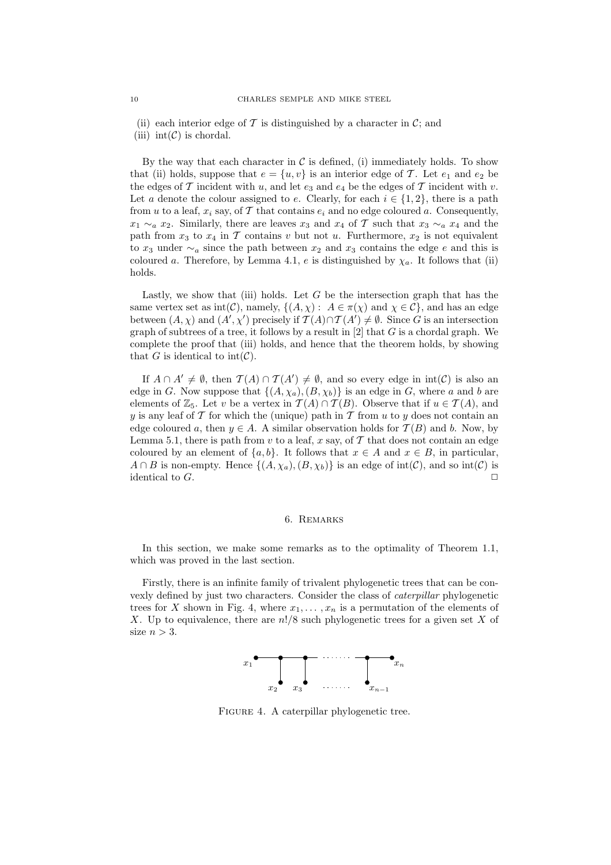(ii) each interior edge of  $\mathcal T$  is distinguished by a character in  $\mathcal C$ ; and

By the way that each character in  $\mathcal C$  is defined, (i) immediately holds. To show that (ii) holds, suppose that  $e = \{u, v\}$  is an interior edge of T. Let  $e_1$  and  $e_2$  be the edges of T incident with u, and let  $e_3$  and  $e_4$  be the edges of T incident with v. Let a denote the colour assigned to e. Clearly, for each  $i \in \{1,2\}$ , there is a path from u to a leaf,  $x_i$  say, of T that contains  $e_i$  and no edge coloured a. Consequently,  $x_1 \sim_a x_2$ . Similarly, there are leaves  $x_3$  and  $x_4$  of T such that  $x_3 \sim_a x_4$  and the path from  $x_3$  to  $x_4$  in  $\mathcal T$  contains v but not u. Furthermore,  $x_2$  is not equivalent to  $x_3$  under  $\sim_a$  since the path between  $x_2$  and  $x_3$  contains the edge e and this is coloured a. Therefore, by Lemma 4.1, e is distinguished by  $\chi_a$ . It follows that (ii) holds.

Lastly, we show that (iii) holds. Let  $G$  be the intersection graph that has the same vertex set as  $\text{int}(\mathcal{C})$ , namely,  $\{(A, \chi): A \in \pi(\chi) \text{ and } \chi \in \mathcal{C}\}\)$ , and has an edge between  $(A, \chi)$  and  $(A', \chi')$  precisely if  $\mathcal{T}(A) \cap \mathcal{T}(A') \neq \emptyset$ . Since G is an intersection graph of subtrees of a tree, it follows by a result in [2] that  $G$  is a chordal graph. We complete the proof that (iii) holds, and hence that the theorem holds, by showing that G is identical to  $\text{int}(\mathcal{C})$ .

If  $A \cap A' \neq \emptyset$ , then  $\mathcal{T}(A) \cap \mathcal{T}(A') \neq \emptyset$ , and so every edge in int(C) is also an edge in G. Now suppose that  $\{(A, \chi_a), (B, \chi_b)\}\$ is an edge in G, where a and b are elements of  $\mathbb{Z}_5$ . Let v be a vertex in  $\mathcal{T}(A) \cap \mathcal{T}(B)$ . Observe that if  $u \in \mathcal{T}(A)$ , and y is any leaf of  $\mathcal T$  for which the (unique) path in  $\mathcal T$  from u to y does not contain an edge coloured a, then  $y \in A$ . A similar observation holds for  $\mathcal{T}(B)$  and b. Now, by Lemma 5.1, there is path from v to a leaf, x say, of  $\mathcal T$  that does not contain an edge coloured by an element of  $\{a, b\}$ . It follows that  $x \in A$  and  $x \in B$ , in particular,  $A \cap B$  is non-empty. Hence  $\{(A, \chi_a), (B, \chi_b)\}\$ is an edge of int(C), and so int(C) is identical to  $G$ .

#### 6. Remarks

In this section, we make some remarks as to the optimality of Theorem 1.1, which was proved in the last section.

Firstly, there is an infinite family of trivalent phylogenetic trees that can be convexly defined by just two characters. Consider the class of *caterpillar* phylogenetic trees for X shown in Fig. 4, where  $x_1, \ldots, x_n$  is a permutation of the elements of X. Up to equivalence, there are  $n!/8$  such phylogenetic trees for a given set X of size  $n > 3$ .



FIGURE 4. A caterpillar phylogenetic tree.

<sup>(</sup>iii)  $\text{int}(\mathcal{C})$  is chordal.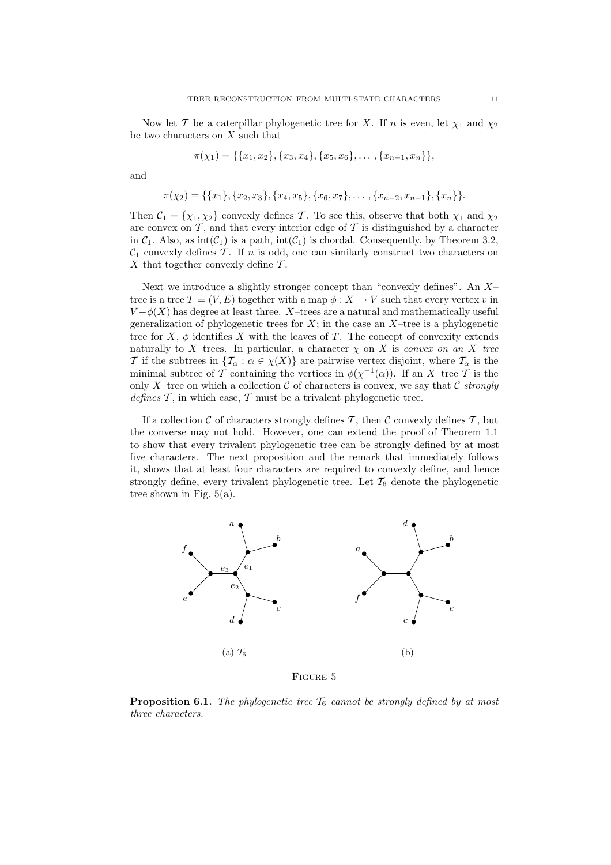Now let T be a caterpillar phylogenetic tree for X. If n is even, let  $\chi_1$  and  $\chi_2$ be two characters on X such that

$$
\pi(\chi_1) = \{\{x_1, x_2\}, \{x_3, x_4\}, \{x_5, x_6\}, \ldots, \{x_{n-1}, x_n\}\},\
$$

and

$$
\pi(\chi_2) = \{\{x_1\}, \{x_2, x_3\}, \{x_4, x_5\}, \{x_6, x_7\}, \ldots, \{x_{n-2}, x_{n-1}\}, \{x_n\}\}.
$$

Then  $C_1 = \{\chi_1, \chi_2\}$  convexly defines T. To see this, observe that both  $\chi_1$  and  $\chi_2$ are convex on  $\mathcal T$ , and that every interior edge of  $\mathcal T$  is distinguished by a character in  $C_1$ . Also, as int( $C_1$ ) is a path, int( $C_1$ ) is chordal. Consequently, by Theorem 3.2,  $C_1$  convexly defines  $\mathcal T$ . If n is odd, one can similarly construct two characters on  $X$  that together convexly define  $\mathcal{T}$ .

Next we introduce a slightly stronger concept than "convexly defines". An X– tree is a tree  $T = (V, E)$  together with a map  $\phi : X \to V$  such that every vertex v in  $V - \phi(X)$  has degree at least three. X–trees are a natural and mathematically useful generalization of phylogenetic trees for  $X$ ; in the case an  $X$ –tree is a phylogenetic tree for  $X$ ,  $\phi$  identifies X with the leaves of T. The concept of convexity extends naturally to X–trees. In particular, a character  $\chi$  on X is *convex on an* X–tree T if the subtrees in  $\{\mathcal{T}_{\alpha} : \alpha \in \chi(X)\}\$  are pairwise vertex disjoint, where  $\mathcal{T}_{\alpha}$  is the minimal subtree of T containing the vertices in  $\phi(\chi^{-1}(\alpha))$ . If an X-tree T is the only X–tree on which a collection  $\mathcal C$  of characters is convex, we say that  $\mathcal C$  *strongly defines*  $\mathcal{T}$ , in which case,  $\mathcal{T}$  must be a trivalent phylogenetic tree.

If a collection  $\mathcal C$  of characters strongly defines  $\mathcal T$ , then  $\mathcal C$  convexly defines  $\mathcal T$ , but the converse may not hold. However, one can extend the proof of Theorem 1.1 to show that every trivalent phylogenetic tree can be strongly defined by at most five characters. The next proposition and the remark that immediately follows it, shows that at least four characters are required to convexly define, and hence strongly define, every trivalent phylogenetic tree. Let  $\mathcal{T}_6$  denote the phylogenetic tree shown in Fig. 5(a).



**Proposition 6.1.** *The phylogenetic tree*  $\mathcal{T}_6$  *cannot be strongly defined by at most three characters.*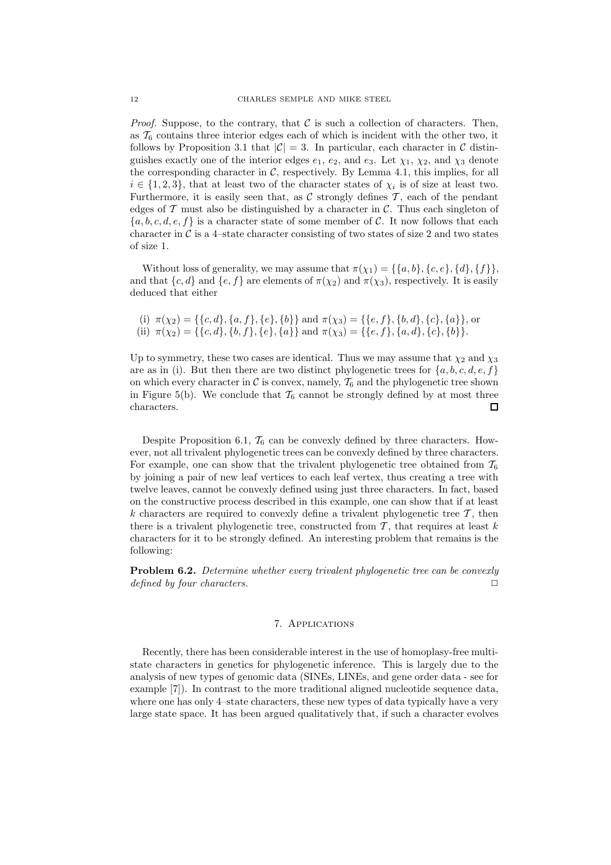*Proof.* Suppose, to the contrary, that  $\mathcal C$  is such a collection of characters. Then, as  $\mathcal{T}_6$  contains three interior edges each of which is incident with the other two, it follows by Proposition 3.1 that  $|\mathcal{C}| = 3$ . In particular, each character in C distinguishes exactly one of the interior edges  $e_1$ ,  $e_2$ , and  $e_3$ . Let  $\chi_1$ ,  $\chi_2$ , and  $\chi_3$  denote the corresponding character in  $C$ , respectively. By Lemma 4.1, this implies, for all  $i \in \{1, 2, 3\}$ , that at least two of the character states of  $\chi_i$  is of size at least two. Furthermore, it is easily seen that, as  $\mathcal C$  strongly defines  $\mathcal T$ , each of the pendant edges of  $\mathcal T$  must also be distinguished by a character in  $\mathcal C$ . Thus each singleton of  $\{a, b, c, d, e, f\}$  is a character state of some member of C. It now follows that each character in  $\mathcal C$  is a 4-state character consisting of two states of size 2 and two states of size 1.

Without loss of generality, we may assume that  $\pi(\chi_1) = \{\{a, b\}, \{c, e\}, \{d\}, \{f\}\},\$ and that  ${c, d}$  and  ${e, f}$  are elements of  $\pi(\chi_2)$  and  $\pi(\chi_3)$ , respectively. It is easily deduced that either

(i) 
$$
\pi(\chi_2) = \{\{c, d\}, \{a, f\}, \{e\}, \{b\}\}
$$
 and  $\pi(\chi_3) = \{\{e, f\}, \{b, d\}, \{c\}, \{a\}\}$ , or  
(ii)  $\pi(\chi_2) = \{\{c, d\}, \{b, f\}, \{e\}, \{a\}\}$  and  $\pi(\chi_3) = \{\{e, f\}, \{a, d\}, \{c\}, \{b\}\}.$ 

Up to symmetry, these two cases are identical. Thus we may assume that  $\chi_2$  and  $\chi_3$ are as in (i). But then there are two distinct phylogenetic trees for  $\{a, b, c, d, e, f\}$ on which every character in  $\mathcal C$  is convex, namely,  $\mathcal T_6$  and the phylogenetic tree shown in Figure 5(b). We conclude that  $\mathcal{T}_6$  cannot be strongly defined by at most three characters. П

Despite Proposition 6.1,  $\mathcal{T}_6$  can be convexly defined by three characters. However, not all trivalent phylogenetic trees can be convexly defined by three characters. For example, one can show that the trivalent phylogenetic tree obtained from  $\mathcal{T}_6$ by joining a pair of new leaf vertices to each leaf vertex, thus creating a tree with twelve leaves, cannot be convexly defined using just three characters. In fact, based on the constructive process described in this example, one can show that if at least  $k$  characters are required to convexly define a trivalent phylogenetic tree  $\mathcal{T}$ , then there is a trivalent phylogenetic tree, constructed from  $\mathcal{T}$ , that requires at least k characters for it to be strongly defined. An interesting problem that remains is the following:

**Problem 6.2.** *Determine whether every trivalent phylogenetic tree can be convexly defined by four characters.*  $\square$ 

# 7. Applications

Recently, there has been considerable interest in the use of homoplasy-free multistate characters in genetics for phylogenetic inference. This is largely due to the analysis of new types of genomic data (SINEs, LINEs, and gene order data - see for example [7]). In contrast to the more traditional aligned nucleotide sequence data, where one has only 4–state characters, these new types of data typically have a very large state space. It has been argued qualitatively that, if such a character evolves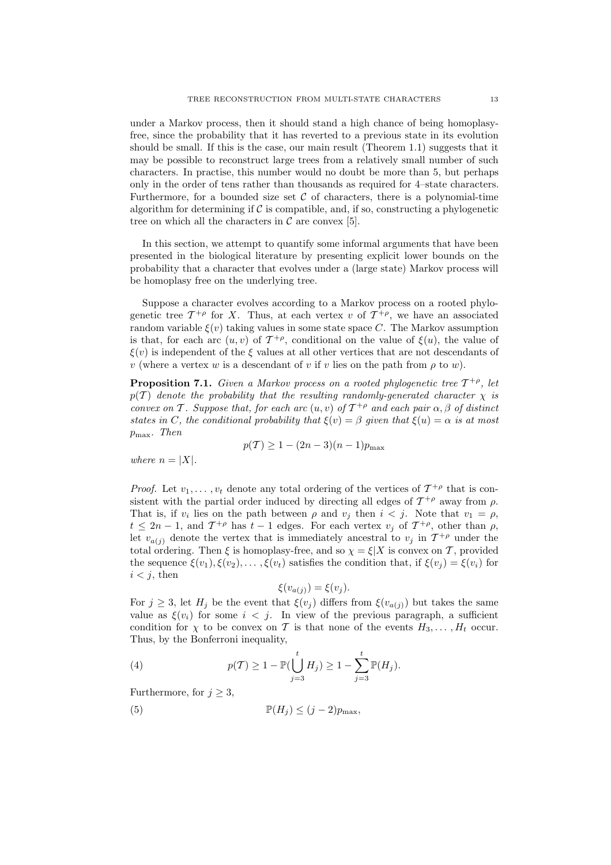under a Markov process, then it should stand a high chance of being homoplasyfree, since the probability that it has reverted to a previous state in its evolution should be small. If this is the case, our main result (Theorem 1.1) suggests that it may be possible to reconstruct large trees from a relatively small number of such characters. In practise, this number would no doubt be more than 5, but perhaps only in the order of tens rather than thousands as required for 4–state characters. Furthermore, for a bounded size set  $C$  of characters, there is a polynomial-time algorithm for determining if  $\mathcal C$  is compatible, and, if so, constructing a phylogenetic tree on which all the characters in  $\mathcal C$  are convex [5].

In this section, we attempt to quantify some informal arguments that have been presented in the biological literature by presenting explicit lower bounds on the probability that a character that evolves under a (large state) Markov process will be homoplasy free on the underlying tree.

Suppose a character evolves according to a Markov process on a rooted phylogenetic tree  $T^{+\rho}$  for X. Thus, at each vertex v of  $T^{+\rho}$ , we have an associated random variable  $\xi(v)$  taking values in some state space C. The Markov assumption is that, for each arc  $(u, v)$  of  $T^{+\rho}$ , conditional on the value of  $\xi(u)$ , the value of  $\xi(v)$  is independent of the  $\xi$  values at all other vertices that are not descendants of v (where a vertex w is a descendant of v if v lies on the path from  $\rho$  to w).

**Proposition 7.1.** *Given a Markov process on a rooted phylogenetic tree*  $T^{+\rho}$ *, let*  $p(\mathcal{T})$  *denote the probability that the resulting randomly-generated character*  $\chi$  *is convex on* T. Suppose that, for each arc  $(u, v)$  of  $T^{+\rho}$  and each pair  $\alpha, \beta$  of distinct *states in* C, the conditional probability that  $\xi(v) = \beta$  given that  $\xi(u) = \alpha$  is at most pmax*. Then*

$$
p(\mathcal{T}) \ge 1 - (2n - 3)(n - 1)p_{\text{max}}
$$

*where*  $n = |X|$ *.* 

*Proof.* Let  $v_1, \ldots, v_t$  denote any total ordering of the vertices of  $\mathcal{T}^{+\rho}$  that is consistent with the partial order induced by directing all edges of  $\mathcal{T}^{+\rho}$  away from  $\rho$ . That is, if  $v_i$  lies on the path between  $\rho$  and  $v_j$  then  $i < j$ . Note that  $v_1 = \rho$ ,  $t \leq 2n-1$ , and  $T^{+\rho}$  has  $t-1$  edges. For each vertex  $v_j$  of  $T^{+\rho}$ , other than  $\rho$ , let  $v_{a(i)}$  denote the vertex that is immediately ancestral to  $v_i$  in  $\mathcal{T}^{+\rho}$  under the total ordering. Then  $\xi$  is homoplasy-free, and so  $\chi = \xi | X$  is convex on T, provided the sequence  $\xi(v_1), \xi(v_2), \ldots, \xi(v_t)$  satisfies the condition that, if  $\xi(v_j) = \xi(v_i)$  for  $i < j$ , then

$$
\xi(v_{a(j)}) = \xi(v_j).
$$

For  $j \geq 3$ , let  $H_j$  be the event that  $\xi(v_j)$  differs from  $\xi(v_{a(j)})$  but takes the same value as  $\xi(v_i)$  for some  $i < j$ . In view of the previous paragraph, a sufficient condition for  $\chi$  to be convex on T is that none of the events  $H_3,\ldots,H_t$  occur. Thus, by the Bonferroni inequality,

(4) 
$$
p(T) \ge 1 - \mathbb{P}(\bigcup_{j=3}^{t} H_j) \ge 1 - \sum_{j=3}^{t} \mathbb{P}(H_j).
$$

Furthermore, for  $i \geq 3$ ,

(5) 
$$
\mathbb{P}(H_j) \leq (j-2)p_{\max},
$$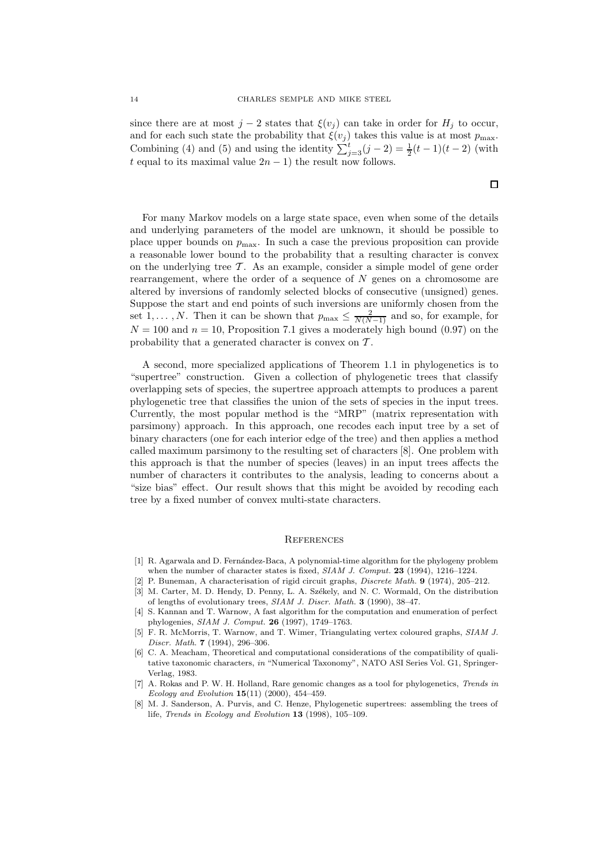since there are at most  $j-2$  states that  $\xi(v_j)$  can take in order for  $H_j$  to occur, and for each such state the probability that  $\xi(v_j)$  takes this value is at most  $p_{\text{max}}$ . Combining (4) and (5) and using the identity  $\sum_{j=3}^{t} (j-2) = \frac{1}{2}(t-1)(t-2)$  (with t equal to its maximal value  $2n - 1$ ) the result now follows.

For many Markov models on a large state space, even when some of the details and underlying parameters of the model are unknown, it should be possible to place upper bounds on  $p_{\text{max}}$ . In such a case the previous proposition can provide a reasonable lower bound to the probability that a resulting character is convex on the underlying tree  $\mathcal T$ . As an example, consider a simple model of gene order rearrangement, where the order of a sequence of N genes on a chromosome are altered by inversions of randomly selected blocks of consecutive (unsigned) genes. Suppose the start and end points of such inversions are uniformly chosen from the set 1,..., N. Then it can be shown that  $p_{\text{max}} \leq \frac{2}{N(N-1)}$  and so, for example, for  $N = 100$  and  $n = 10$ , Proposition 7.1 gives a moderately high bound (0.97) on the probability that a generated character is convex on  $\mathcal{T}$ .

A second, more specialized applications of Theorem 1.1 in phylogenetics is to "supertree" construction. Given a collection of phylogenetic trees that classify overlapping sets of species, the supertree approach attempts to produces a parent phylogenetic tree that classifies the union of the sets of species in the input trees. Currently, the most popular method is the "MRP" (matrix representation with parsimony) approach. In this approach, one recodes each input tree by a set of binary characters (one for each interior edge of the tree) and then applies a method called maximum parsimony to the resulting set of characters [8]. One problem with this approach is that the number of species (leaves) in an input trees affects the number of characters it contributes to the analysis, leading to concerns about a "size bias" effect. Our result shows that this might be avoided by recoding each tree by a fixed number of convex multi-state characters.

#### **REFERENCES**

- [1] R. Agarwala and D. Fernández-Baca, A polynomial-time algorithm for the phylogeny problem when the number of character states is fixed, SIAM J. Comput. **23** (1994), 1216–1224.
- [2] P. Buneman, A characterisation of rigid circuit graphs, Discrete Math. **9** (1974), 205–212.
- [3] M. Carter, M. D. Hendy, D. Penny, L. A. Székely, and N. C. Wormald, On the distribution of lengths of evolutionary trees, SIAM J. Discr. Math. **3** (1990), 38–47.
- [4] S. Kannan and T. Warnow, A fast algorithm for the computation and enumeration of perfect phylogenies, SIAM J. Comput. **26** (1997), 1749–1763.
- [5] F. R. McMorris, T. Warnow, and T. Wimer, Triangulating vertex coloured graphs, SIAM J. Discr. Math. **7** (1994), 296–306.
- [6] C. A. Meacham, Theoretical and computational considerations of the compatibility of qualitative taxonomic characters, in "Numerical Taxonomy", NATO ASI Series Vol. G1, Springer-Verlag, 1983.
- [7] A. Rokas and P. W. H. Holland, Rare genomic changes as a tool for phylogenetics, Trends in Ecology and Evolution **15**(11) (2000), 454–459.
- [8] M. J. Sanderson, A. Purvis, and C. Henze, Phylogenetic supertrees: assembling the trees of life, Trends in Ecology and Evolution **13** (1998), 105–109.

 $\Box$